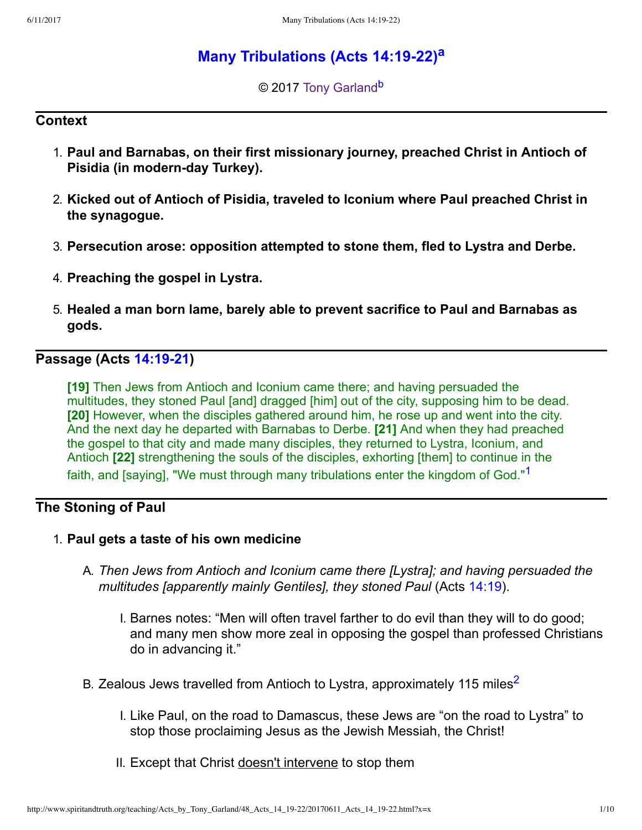# **M[a](#page-9-0)ny Tribulations (Acts 14:19-22)**<sup>a</sup>

<span id="page-0-3"></span><span id="page-0-2"></span>© 2017 [Tony Garland](http://www.spiritandtruth.org/id/tg.htm)<sup>[b](#page-9-1)</sup>

#### **Context**

- 1. **Paul and Barnabas, on their first missionary journey, preached Christ in Antioch of Pisidia (in modern-day Turkey).**
- 2. **Kicked out of Antioch of Pisidia, traveled to Iconium where Paul preached Christ in the synagogue.**
- 3. **Persecution arose: opposition attempted to stone them, fled to Lystra and Derbe.**
- 4. **Preaching the gospel in Lystra.**
- 5. **Healed a man born lame, barely able to prevent sacrifice to Paul and Barnabas as gods.**

## **Passage (Acts 14:19-21)**

<span id="page-0-0"></span>**[19]** Then Jews from Antioch and Iconium came there; and having persuaded the multitudes, they stoned Paul [and] dragged [him] out of the city, supposing him to be dead. **[20]** However, when the disciples gathered around him, he rose up and went into the city. And the next day he departed with Barnabas to Derbe. **[21]** And when they had preached the gospel to that city and made many disciples, they returned to Lystra, Iconium, and Antioch **[22]** strengthening the souls of the disciples, exhorting [them] to continue in the faith, and [saying], "We must through many tribulations enter the kingdom of God."[1](#page-9-2)

### **The Stoning of Paul**

- <span id="page-0-1"></span>1. **Paul gets a taste of his own medicine**
	- A. *Then Jews from Antioch and Iconium came there [Lystra]; and having persuaded the multitudes [apparently mainly Gentiles], they stoned Paul* (Acts [14:19](http://www.spiritandtruth.org/bibles/nasb/b44c014.htm#Acts_C14V19)).
		- I. Barnes notes: "Men will often travel farther to do evil than they will to do good; and many men show more zeal in opposing the gospel than professed Christians do in advancing it."
	- B. Zealous Jews travelled from Antioch to Lystra, approximately 115 miles<sup>[2](#page-9-3)</sup>
		- I. Like Paul, on the road to Damascus, these Jews are "on the road to Lystra" to stop those proclaiming Jesus as the Jewish Messiah, the Christ!
		- II. Except that Christ doesn't intervene to stop them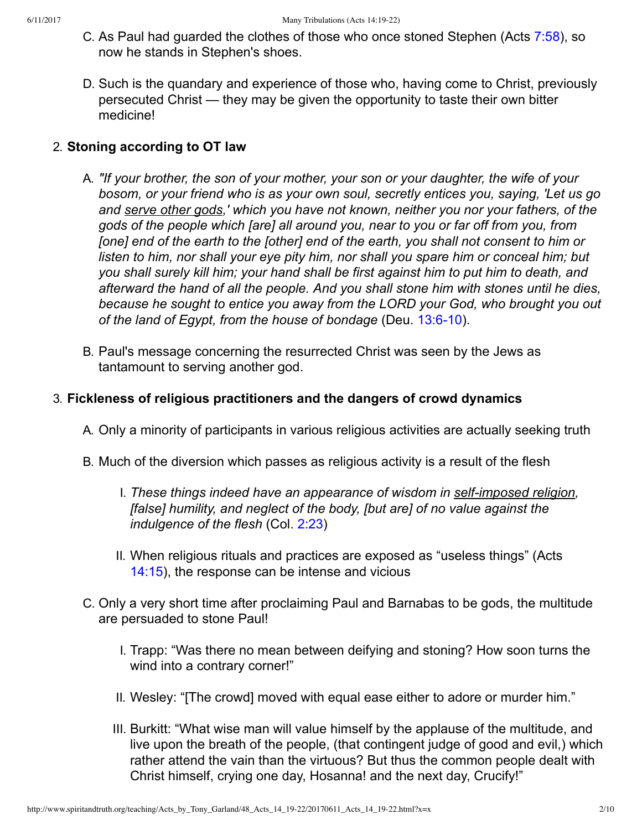- C. As Paul had guarded the clothes of those who once stoned Stephen (Acts [7:58](http://www.spiritandtruth.org/bibles/nasb/b44c007.htm#Acts_C7V58)), so now he stands in Stephen's shoes.
- D. Such is the quandary and experience of those who, having come to Christ, previously persecuted Christ — they may be given the opportunity to taste their own bitter medicine!

#### 2. **Stoning according to OT law**

- A. *"If your brother, the son of your mother, your son or your daughter, the wife of your bosom, or your friend who is as your own soul, secretly entices you, saying, 'Let us go and serve other gods,' which you have not known, neither you nor your fathers, of the gods of the people which [are] all around you, near to you or far off from you, from [one] end of the earth to the [other] end of the earth, you shall not consent to him or listen to him, nor shall your eye pity him, nor shall you spare him or conceal him; but you shall surely kill him; your hand shall be first against him to put him to death, and afterward the hand of all the people. And you shall stone him with stones until he dies, because he sought to entice you away from the LORD your God, who brought you out of the land of Egypt, from the house of bondage* (Deu. 13:6-10).
- B. Paul's message concerning the resurrected Christ was seen by the Jews as tantamount to serving another god.

#### 3. **Fickleness of religious practitioners and the dangers of crowd dynamics**

- A. Only a minority of participants in various religious activities are actually seeking truth
- B. Much of the diversion which passes as religious activity is a result of the flesh
	- I. These things indeed have an appearance of wisdom in self-imposed religion, *[false] humility, and neglect of the body, [but are] of no value against the indulgence of the flesh* (Col. [2:23](http://www.spiritandtruth.org/bibles/nasb/b51c002.htm#Col._C2V23))
	- II. When religious rituals and practices are exposed as "useless things" (Acts [14:15\)](http://www.spiritandtruth.org/bibles/nasb/b44c014.htm#Acts_C14V15), the response can be intense and vicious
- C. Only a very short time after proclaiming Paul and Barnabas to be gods, the multitude are persuaded to stone Paul!
	- I. Trapp: "Was there no mean between deifying and stoning? How soon turns the wind into a contrary corner!"
	- II. Wesley: "[The crowd] moved with equal ease either to adore or murder him."
	- III. Burkitt: "What wise man will value himself by the applause of the multitude, and live upon the breath of the people, (that contingent judge of good and evil,) which rather attend the vain than the virtuous? But thus the common people dealt with Christ himself, crying one day, Hosanna! and the next day, Crucify!"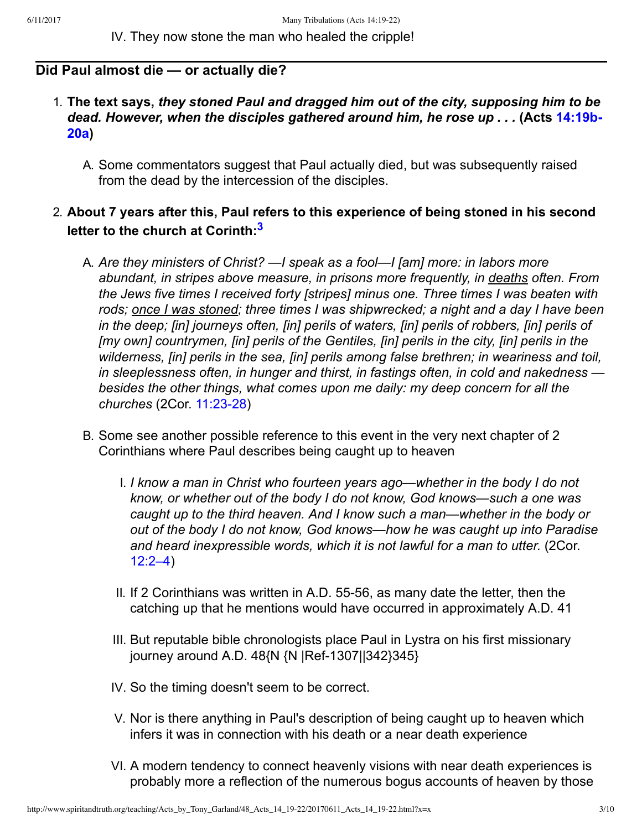IV. They now stone the man who healed the cripple!

#### **Did Paul almost die — or actually die?**

- 1. **The text says,** *they stoned Paul and dragged him out of the city, supposing him to be [dead. However, when the disciples gathered around him, he rose up . . .](http://www.spiritandtruth.org/bibles/nasb/b44c014.htm#Acts_C14V19)* **(Acts 14:19b-20a)**
	- A. Some commentators suggest that Paul actually died, but was subsequently raised from the dead by the intercession of the disciples.

### 2. **About 7 years after this, Paul refers to this experience of being stoned in his second letter to the church at Corinth:[3](#page-9-4)**

- <span id="page-2-0"></span>A. *Are they ministers of Christ? —I speak as a fool—I [am] more: in labors more abundant, in stripes above measure, in prisons more frequently, in deaths often. From the Jews five times I received forty [stripes] minus one. Three times I was beaten with rods; once I was stoned; three times I was shipwrecked; a night and a day I have been in the deep; [in] journeys often, [in] perils of waters, [in] perils of robbers, [in] perils of [my own] countrymen, [in] perils of the Gentiles, [in] perils in the city, [in] perils in the wilderness, [in] perils in the sea, [in] perils among false brethren; in weariness and toil, in sleeplessness often, in hunger and thirst, in fastings often, in cold and nakedness besides the other things, what comes upon me daily: my deep concern for all the churches* (2Cor. 11:23-28)
- B. Some see another possible reference to this event in the very next chapter of 2 Corinthians where Paul describes being caught up to heaven
	- I. *I know a man in Christ who fourteen years ago—whether in the body I do not know, or whether out of the body I do not know, God knows—such a one was caught up to the third heaven. And I know such a man—whether in the body or out of the body I do not know, God knows—how he was caught up into Paradise and heard inexpressible words, which it is not lawful for a man to utter.* (2Cor. [12:2–4](http://www.spiritandtruth.org/bibles/nasb/b47c012.htm#2Cor._C12V2))
	- II. If 2 Corinthians was written in A.D. 55-56, as many date the letter, then the catching up that he mentions would have occurred in approximately A.D. 41
	- III. But reputable bible chronologists place Paul in Lystra on his first missionary journey around A.D. 48{N {N |Ref-1307||342}345}
	- IV. So the timing doesn't seem to be correct.
	- V. Nor is there anything in Paul's description of being caught up to heaven which infers it was in connection with his death or a near death experience
	- VI. A modern tendency to connect heavenly visions with near death experiences is probably more a reflection of the numerous bogus accounts of heaven by those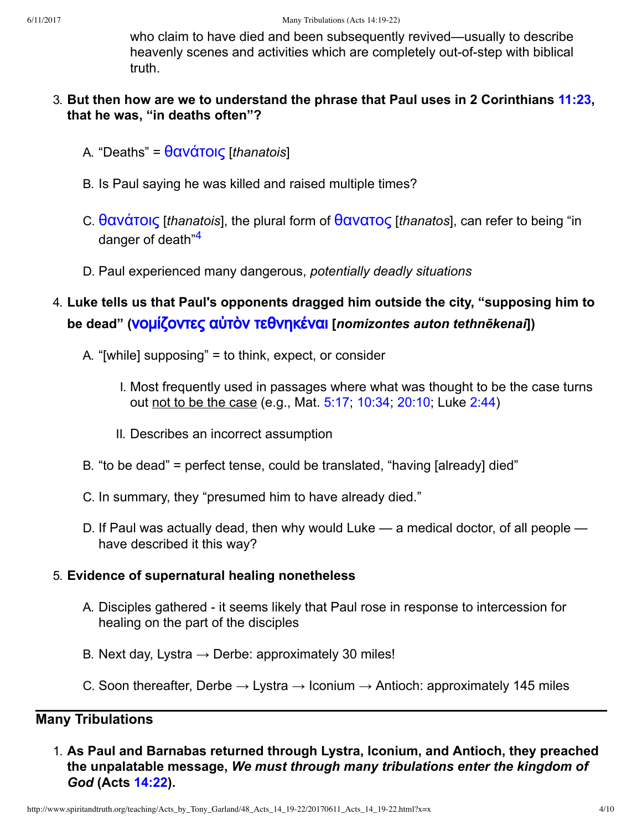who claim to have died and been subsequently revived—usually to describe heavenly scenes and activities which are completely out-of-step with biblical truth.

- 3. **But then how are we to understand the phrase that Paul uses in 2 Corinthians [11:23](http://www.spiritandtruth.org/bibles/nasb/b47c011.htm#2Cor._C11V23), that he was, "in deaths often"?**
	- A. "Deaths" = [˥α˪˙το˦ς](http://www.spiritandtruth.org/fontsu/index.htm) [*thanatois*]
	- B. Is Paul saying he was killed and raised multiple times?
	- C. θανάτοις [*thanatois*], the plural form of θανατος [*thanatos*], can refer to being "in danger of death<sup>"[4](#page-9-5)</sup>
	- D. Paul experienced many dangerous, *potentially deadly situations*
- <span id="page-3-0"></span>4. **Luke tells us that Paul's opponents dragged him outside the city, "supposing him to** be dead" (**VOμίζοντες αὐτὸν τεθνηκέναι** [*nomizontes auton tethnēkenai*])
	- A. "[while] supposing" = to think, expect, or consider
		- I. Most frequently used in passages where what was thought to be the case turns out not to be the case (e.g., Mat. [5:17;](http://www.spiritandtruth.org/bibles/nasb/b40c005.htm#Mat._C5V17) [10:34](http://www.spiritandtruth.org/bibles/nasb/b40c010.htm#Mat._C10V34); [20:10;](http://www.spiritandtruth.org/bibles/nasb/b40c020.htm#Mat._C20V10) Luke [2:44\)](http://www.spiritandtruth.org/bibles/nasb/b42c002.htm#Luke_C2V44)
		- II. Describes an incorrect assumption
	- B. "to be dead" = perfect tense, could be translated, "having [already] died"
	- C. In summary, they "presumed him to have already died."
	- D. If Paul was actually dead, then why would Luke a medical doctor, of all people have described it this way?

#### 5. **Evidence of supernatural healing nonetheless**

- A. Disciples gathered it seems likely that Paul rose in response to intercession for healing on the part of the disciples
- B. Next day, Lystra  $\rightarrow$  Derbe: approximately 30 miles!
- C. Soon thereafter, Derbe  $\rightarrow$  Lystra  $\rightarrow$  Iconium  $\rightarrow$  Antioch: approximately 145 miles

#### **Many Tribulations**

1. **As Paul and Barnabas returned through Lystra, Iconium, and Antioch, they preached the unpalatable message,** *We must through many tribulations enter the kingdom of God* **(Acts [14:22\)](http://www.spiritandtruth.org/bibles/nasb/b44c014.htm#Acts_C14V22).**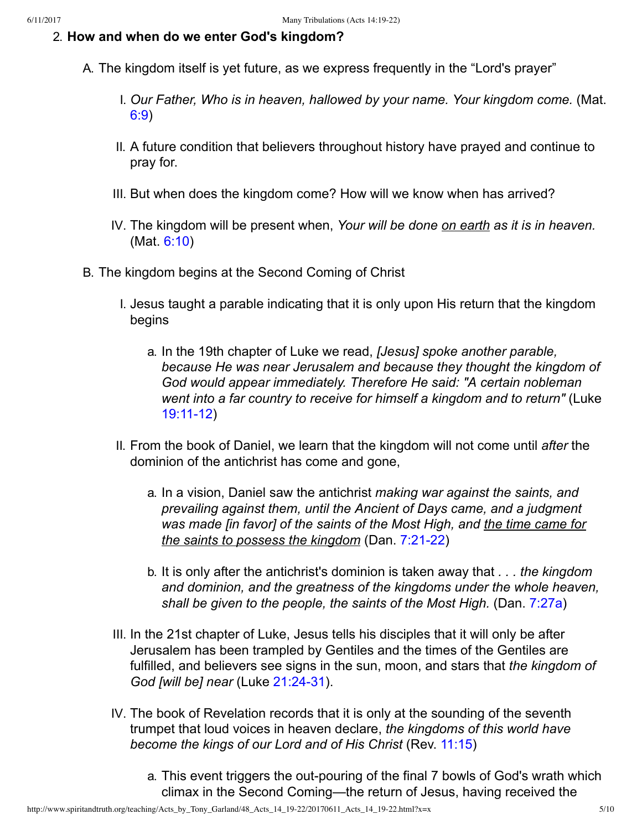#### 2. **How and when do we enter God's kingdom?**

- A. The kingdom itself is yet future, as we express frequently in the "Lord's prayer"
	- I. *Our Father, Who is in heaven, hallowed by your name. Your kingdom come.* (Mat. [6:9](http://www.spiritandtruth.org/bibles/nasb/b40c006.htm#Mat._C6V9))
	- II. A future condition that believers throughout history have prayed and continue to pray for.
	- III. But when does the kingdom come? How will we know when has arrived?
	- IV. The kingdom will be present when, *Your will be done on earth as it is in heaven.* (Mat. [6:10\)](http://www.spiritandtruth.org/bibles/nasb/b40c006.htm#Mat._C6V10)
- B. The kingdom begins at the Second Coming of Christ
	- I. Jesus taught a parable indicating that it is only upon His return that the kingdom begins
		- a. In the 19th chapter of Luke we read, *[Jesus] spoke another parable, because He was near Jerusalem and because they thought the kingdom of God would appear immediately. Therefore He said: "A certain nobleman went into a far country to receive for himself a kingdom and to return"* (Luke 19:11-12)
	- II. From the book of Daniel, we learn that the kingdom will not come until *after* the dominion of the antichrist has come and gone,
		- a. In a vision, Daniel saw the antichrist *making war against the saints, and prevailing against them, until the Ancient of Days came, and a judgment was made [in favor] of the saints of the Most High, and the time came for the saints to possess the kingdom* (Dan. 7:21-22)
		- b. It is only after the antichrist's dominion is taken away that *. . . the kingdom and dominion, and the greatness of the kingdoms under the whole heaven, shall be given to the people, the saints of the Most High.* (Dan. [7:27a\)](http://www.spiritandtruth.org/bibles/nasb/b27c007.htm#Dan._C7V27)
	- III. In the 21st chapter of Luke, Jesus tells his disciples that it will only be after Jerusalem has been trampled by Gentiles and the times of the Gentiles are fulfilled, and believers see signs in the sun, moon, and stars that *the kingdom of God [will be] near (Luke 21:24-31).*
	- IV. The book of Revelation records that it is only at the sounding of the seventh trumpet that loud voices in heaven declare, *the kingdoms of this world have become the kings of our Lord and of His Christ* (Rev. [11:15\)](http://www.spiritandtruth.org/bibles/nasb/b66c011.htm#Rev._C11V15)
		- a. This event triggers the out-pouring of the final 7 bowls of God's wrath which climax in the Second Coming—the return of Jesus, having received the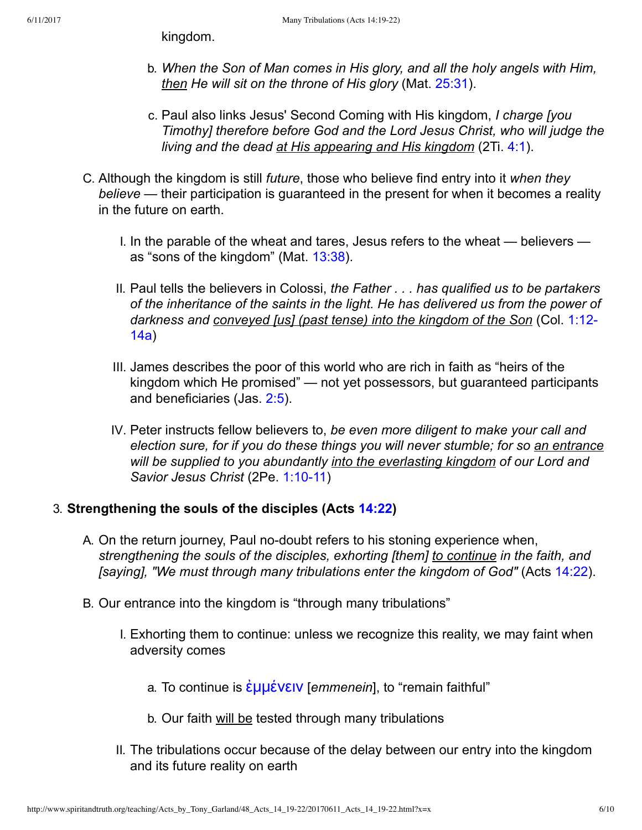kingdom.

- b. *When the Son of Man comes in His glory, and all the holy angels with Him, then He will sit on the throne of His glory* (Mat. [25:31\)](http://www.spiritandtruth.org/bibles/nasb/b40c025.htm#Mat._C25V31).
- c. Paul also links Jesus' Second Coming with His kingdom, *I charge [you Timothy] therefore before God and the Lord Jesus Christ, who will judge the living and the dead at His appearing and His kingdom* (2Ti. [4:1\)](http://www.spiritandtruth.org/bibles/nasb/b55c004.htm#2Ti._C4V1).
- C. Although the kingdom is still *future*, those who believe find entry into it *when they believe* — their participation is guaranteed in the present for when it becomes a reality in the future on earth.
	- I. In the parable of the wheat and tares, Jesus refers to the wheat believers as "sons of the kingdom" (Mat. [13:38](http://www.spiritandtruth.org/bibles/nasb/b40c013.htm#Mat._C13V38)).
	- II. Paul tells the believers in Colossi, *the Father . . . has qualified us to be partakers of the inheritance of the saints in the light. He has delivered us from the power of [darkness and conveyed \[us\] \(past tense\) into the kingdom of the Son](http://www.spiritandtruth.org/bibles/nasb/b51c001.htm#Col._C1V12)* (Col. 1:12 14a)
	- III. James describes the poor of this world who are rich in faith as "heirs of the kingdom which He promised" — not yet possessors, but guaranteed participants and beneficiaries (Jas. [2:5](http://www.spiritandtruth.org/bibles/nasb/b59c002.htm#Jas._C2V5)).
	- IV. Peter instructs fellow believers to, *be even more diligent to make your call and election sure, for if you do these things you will never stumble; for so an entrance will be supplied to you abundantly into the everlasting kingdom of our Lord and* **Savior Jesus Christ (2Pe. 1:10-11)**

#### 3. **Strengthening the souls of the disciples (Acts [14:22](http://www.spiritandtruth.org/bibles/nasb/b44c014.htm#Acts_C14V22))**

- A. On the return journey, Paul no-doubt refers to his stoning experience when, *strengthening the souls of the disciples, exhorting [them] to continue in the faith, and [saying], "We must through many tribulations enter the kingdom of God"* (Acts [14:22\)](http://www.spiritandtruth.org/bibles/nasb/b44c014.htm#Acts_C14V22).
- B. Our entrance into the kingdom is "through many tribulations"
	- I. Exhorting them to continue: unless we recognize this reality, we may faint when adversity comes
		- a. To continue is *ε*μμένειν [*emmenein*], to "remain faithful"
		- b. Our faith will be tested through many tribulations
	- II. The tribulations occur because of the delay between our entry into the kingdom and its future reality on earth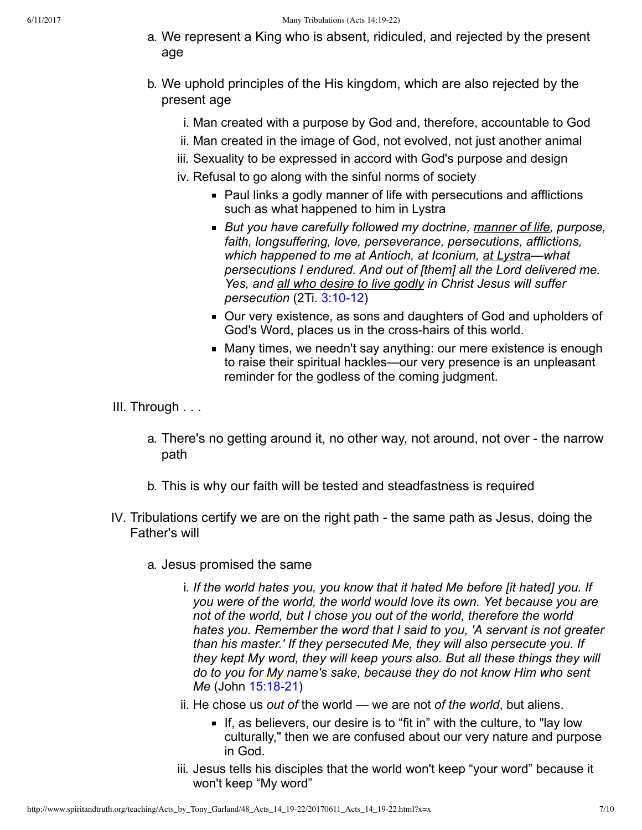- a. We represent a King who is absent, ridiculed, and rejected by the present age
- b. We uphold principles of the His kingdom, which are also rejected by the present age
	- i. Man created with a purpose by God and, therefore, accountable to God
	- ii. Man created in the image of God, not evolved, not just another animal
	- iii. Sexuality to be expressed in accord with God's purpose and design
	- iv. Refusal to go along with the sinful norms of society
		- Paul links a godly manner of life with persecutions and afflictions such as what happened to him in Lystra
		- *But you have carefully followed my doctrine, manner of life, purpose, faith, longsuffering, love, perseverance, persecutions, afflictions, which happened to me at Antioch, at Iconium, at Lystra—what persecutions I endured. And out of [them] all the Lord delivered me. Yes, and all who desire to live godly in Christ Jesus will suffer persecution* (2Ti. 3:10-12)
		- Our very existence, as sons and daughters of God and upholders of God's Word, places us in the cross-hairs of this world.
		- Many times, we needn't say anything: our mere existence is enough to raise their spiritual hackles—our very presence is an unpleasant reminder for the godless of the coming judgment.
- III. Through . . .
	- a. There's no getting around it, no other way, not around, not over the narrow path
	- b. This is why our faith will be tested and steadfastness is required
- IV. Tribulations certify we are on the right path the same path as Jesus, doing the Father's will
	- a. Jesus promised the same
		- i. *If the world hates you, you know that it hated Me before [it hated] you. If you were of the world, the world would love its own. Yet because you are not of the world, but I chose you out of the world, therefore the world hates you. Remember the word that I said to you, 'A servant is not greater than his master.' If they persecuted Me, they will also persecute you. If they kept My word, they will keep yours also. But all these things they will do to you for My name's sake, because they do not know Him who sent Me* (John 15:18-21)
		- ii. He chose us *out of* the world we are not *of the world*, but aliens.
			- If, as believers, our desire is to "fit in" with the culture, to "lay low culturally," then we are confused about our very nature and purpose in God.
		- iii. Jesus tells his disciples that the world won't keep "your word" because it won't keep "My word"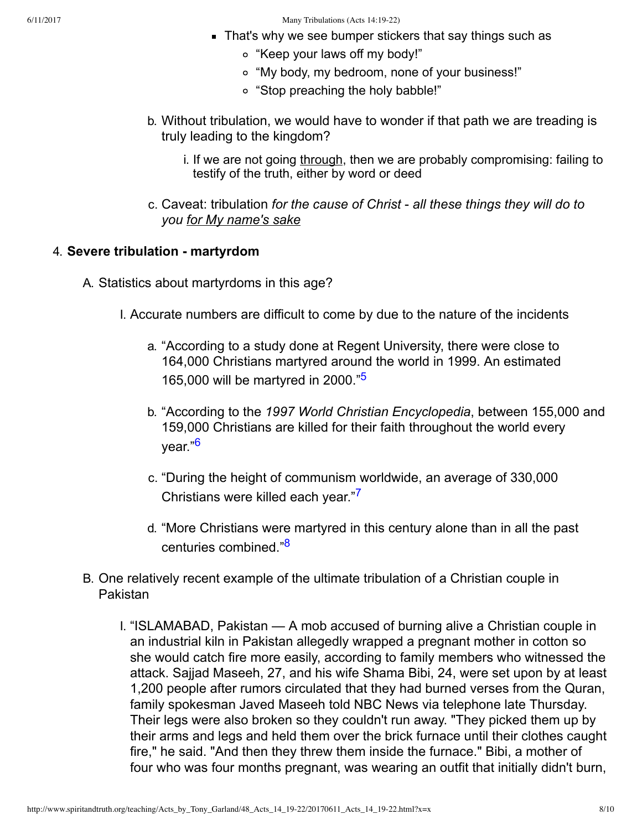- **That's why we see bumper stickers that say things such as** 
	- "Keep your laws off my body!"
	- "My body, my bedroom, none of your business!"
	- "Stop preaching the holy babble!"
- b. Without tribulation, we would have to wonder if that path we are treading is truly leading to the kingdom?
	- i. If we are not going through, then we are probably compromising: failing to testify of the truth, either by word or deed
- c. Caveat: tribulation *for the cause of Christ all these things they will do to you for My name's sake*

#### 4. **Severe tribulation martyrdom**

A. Statistics about martyrdoms in this age?

- <span id="page-7-1"></span><span id="page-7-0"></span>I. Accurate numbers are difficult to come by due to the nature of the incidents
	- a. "According to a study done at Regent University, there were close to 164,000 Christians martyred around the world in 1999. An estimated 165,000 will be martyred in 2000."[5](#page-9-6)
	- b. "According to the *1997 World Christian Encyclopedia*, between 155,000 and 159,000 Christians are killed for their faith throughout the world every year."[6](#page-9-7)
	- c. "During the height of communism worldwide, an average of 330,000 Christians were killed each year."[7](#page-9-8)
	- d. "More Christians were martyred in this century alone than in all the past centuries combined."[8](#page-9-9)
- <span id="page-7-3"></span><span id="page-7-2"></span>B. One relatively recent example of the ultimate tribulation of a Christian couple in Pakistan
	- I. "ISLAMABAD, Pakistan A mob accused of burning alive a Christian couple in an industrial kiln in Pakistan allegedly wrapped a pregnant mother in cotton so she would catch fire more easily, according to family members who witnessed the attack. Sajjad Maseeh, 27, and his wife Shama Bibi, 24, were set upon by at least 1,200 people after rumors circulated that they had burned verses from the Quran, family spokesman Javed Maseeh told NBC News via telephone late Thursday. Their legs were also broken so they couldn't run away. "They picked them up by their arms and legs and held them over the brick furnace until their clothes caught fire," he said. "And then they threw them inside the furnace." Bibi, a mother of four who was four months pregnant, was wearing an outfit that initially didn't burn,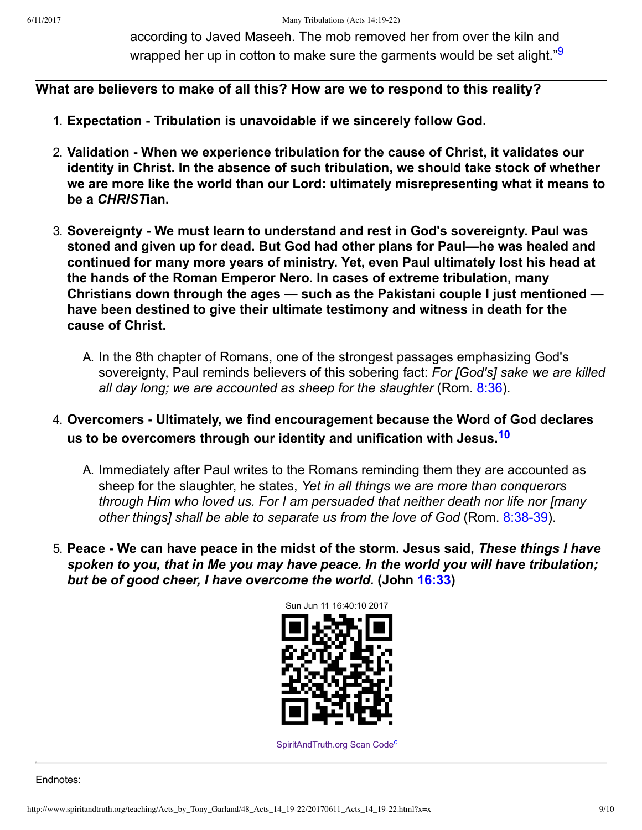<span id="page-8-0"></span>according to Javed Maseeh. The mob removed her from over the kiln and wrapped her up in cotton to make sure the garments would be set alight."<sup>[9](#page-9-10)</sup>

### **What are believers to make of all this? How are we to respond to this reality?**

- 1. **Expectation Tribulation is unavoidable if we sincerely follow God.**
- 2. **Validation When we experience tribulation for the cause of Christ, it validates our identity in Christ. In the absence of such tribulation, we should take stock of whether we are more like the world than our Lord: ultimately misrepresenting what it means to be a** *CHRIST***ian.**
- 3. **Sovereignty We must learn to understand and rest in God's sovereignty. Paul was stoned and given up for dead. But God had other plans for Paul—he was healed and continued for many more years of ministry. Yet, even Paul ultimately lost his head at the hands of the Roman Emperor Nero. In cases of extreme tribulation, many Christians down through the ages — such as the Pakistani couple I just mentioned have been destined to give their ultimate testimony and witness in death for the cause of Christ.**
	- A. In the 8th chapter of Romans, one of the strongest passages emphasizing God's sovereignty, Paul reminds believers of this sobering fact: *For [God's] sake we are killed all day long; we are accounted as sheep for the slaughter* (Rom. [8:36](http://www.spiritandtruth.org/bibles/nasb/b45c008.htm#Rom._C8V36)).
- 4. **Overcomers Ultimately, we find encouragement because the Word of God declares us to be overcomers through our identity and unification with Jesus.[10](#page-9-11)**
	- A. Immediately after Paul writes to the Romans reminding them they are accounted as sheep for the slaughter, he states, *Yet in all things we are more than conquerors through Him who loved us. For I am persuaded that neither death nor life nor [many* other things] shall be able to separate us from the love of God (Rom. 8:38-39).
- 5. **Peace We can have peace in the midst of the storm. Jesus said,** *These things I have spoken to you, that in Me you may have peace. In the world you will have tribulation; but be of good cheer, I have overcome the world.* **(John [16:33](http://www.spiritandtruth.org/bibles/nasb/b43c016.htm#John_C16V33))**

<span id="page-8-1"></span>

<span id="page-8-2"></span>[SpiritAndTruth.org Scan Code](http://www.spiritandtruth.org/)<sup>[c](#page-9-12)</sup>

Endnotes: